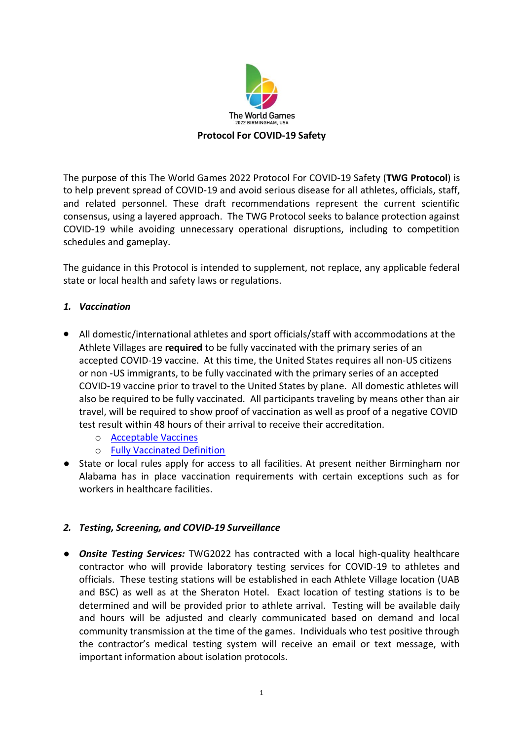

The purpose of this The World Games 2022 Protocol For COVID-19 Safety (**TWG Protocol**) is to help prevent spread of COVID-19 and avoid serious disease for all athletes, officials, staff, and related personnel. These draft recommendations represent the current scientific consensus, using a layered approach. The TWG Protocol seeks to balance protection against COVID-19 while avoiding unnecessary operational disruptions, including to competition schedules and gameplay.

The guidance in this Protocol is intended to supplement, not replace, any applicable federal state or local health and safety laws or regulations.

## *1. Vaccination*

- All domestic/international athletes and sport officials/staff with accommodations at the Athlete Villages are **required** to be fully vaccinated with the primary series of an accepted COVID-19 vaccine. At this time, the United States requires all non-US citizens or non -US immigrants, to be fully vaccinated with the primary series of an accepted COVID-19 vaccine prior to travel to the United States by plane. All domestic athletes will also be required to be fully vaccinated. All participants traveling by means other than air travel, will be required to show proof of vaccination as well as proof of a negative COVID test result within 48 hours of their arrival to receive their accreditation.
	- o [Acceptable Vaccines](https://www.cdc.gov/coronavirus/2019-ncov/travelers/proof-of-vaccination.html#covid-vaccines)
	- o [Fully Vaccinated Definition](https://www.cdc.gov/coronavirus/2019-ncov/travelers/noncitizens-US-air-travel.html)
- State or local rules apply for access to all facilities. At present neither Birmingham nor Alabama has in place vaccination requirements with certain exceptions such as for workers in healthcare facilities.

# *2. Testing, Screening, and COVID-19 Surveillance*

● *Onsite Testing Services:* TWG2022 has contracted with a local high-quality healthcare contractor who will provide laboratory testing services for COVID-19 to athletes and officials. These testing stations will be established in each Athlete Village location (UAB and BSC) as well as at the Sheraton Hotel. Exact location of testing stations is to be determined and will be provided prior to athlete arrival. Testing will be available daily and hours will be adjusted and clearly communicated based on demand and local community transmission at the time of the games. Individuals who test positive through the contractor's medical testing system will receive an email or text message, with important information about isolation protocols.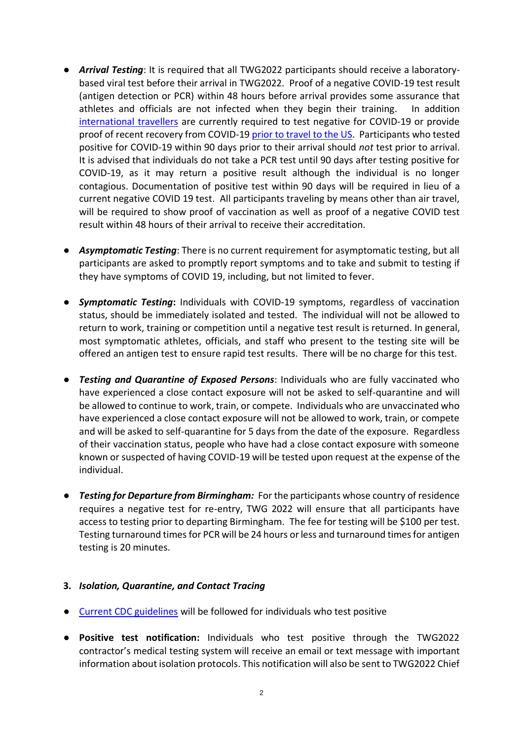- *Arrival Testing*: It is required that all TWG2022 participants should receive a laboratorybased viral test before their arrival in TWG2022. Proof of a negative COVID-19 test result (antigen detection or PCR) within 48 hours before arrival provides some assurance that athletes and officials are not infected when they begin their training. In addition [international travellers](https://www.cdc.gov/coronavirus/2019-ncov/travelers/testing-international-air-travelers.html) are currently required to test negative for COVID-19 or provide proof of recent recovery from COVID-1[9 prior to travel to the US.](https://www.cdc.gov/coronavirus/2019-ncov/travelers/testing-international-air-travelers.html) Participants who tested positive for COVID-19 within 90 days prior to their arrival should *not* test prior to arrival. It is advised that individuals do not take a PCR test until 90 days after testing positive for COVID-19, as it may return a positive result although the individual is no longer contagious. Documentation of positive test within 90 days will be required in lieu of a current negative COVID 19 test. All participants traveling by means other than air travel, will be required to show proof of vaccination as well as proof of a negative COVID test result within 48 hours of their arrival to receive their accreditation.
- *Asymptomatic Testing*: There is no current requirement for asymptomatic testing, but all participants are asked to promptly report symptoms and to take and submit to testing if they have symptoms of COVID 19, including, but not limited to fever.
- *Symptomatic Testing***:** Individuals with COVID-19 symptoms, regardless of vaccination status, should be immediately isolated and tested. The individual will not be allowed to return to work, training or competition until a negative test result is returned. In general, most symptomatic athletes, officials, and staff who present to the testing site will be offered an antigen test to ensure rapid test results. There will be no charge for this test.
- *Testing and Quarantine of Exposed Persons*: Individuals who are fully vaccinated who have experienced a close contact exposure will not be asked to self-quarantine and will be allowed to continue to work, train, or compete. Individuals who are unvaccinated who have experienced a close contact exposure will not be allowed to work, train, or compete and will be asked to self-quarantine for 5 days from the date of the exposure. Regardless of their vaccination status, people who have had a close contact exposure with someone known or suspected of having COVID-19 will be tested upon request at the expense of the individual.
- *Testing for Departure from Birmingham:* For the participants whose country of residence requires a negative test for re-entry, TWG 2022 will ensure that all participants have access to testing prior to departing Birmingham. The fee for testing will be \$100 per test. Testing turnaround times for PCR will be 24 hours or less and turnaround times for antigen testing is 20 minutes.

#### **3.** *Isolation, Quarantine, and Contact Tracing*

- [Current CDC guidelines](https://www.cdc.gov/coronavirus/2019-ncov/your-health/quarantine-isolation.html#:~:text=Stay%20home%20for%205%20days,Do%20not%20travel.&text=End%20isolation%20after%205%20full,and%20your%20symptoms%20are%20improving.) will be followed for individuals who test positive
- **Positive test notification:** Individuals who test positive through the TWG2022 contractor's medical testing system will receive an email or text message with important information about isolation protocols. This notification will also be sent to TWG2022 Chief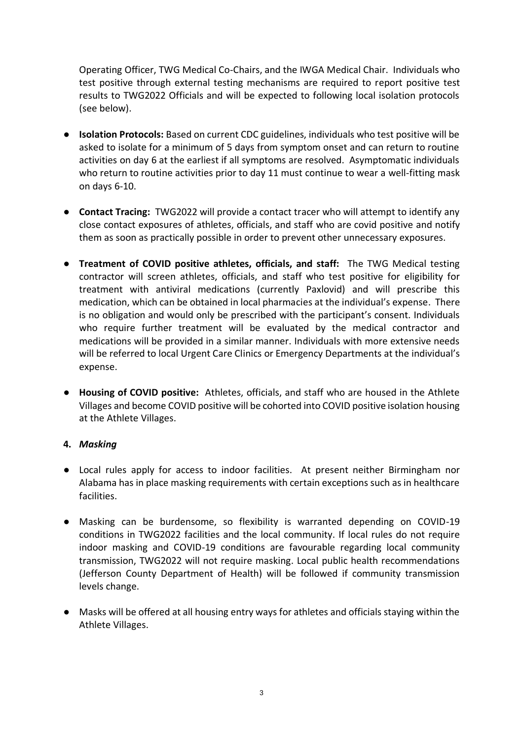Operating Officer, TWG Medical Co-Chairs, and the IWGA Medical Chair. Individuals who test positive through external testing mechanisms are required to report positive test results to TWG2022 Officials and will be expected to following local isolation protocols (see below).

- **Isolation Protocols:** Based on current CDC guidelines, individuals who test positive will be asked to isolate for a minimum of 5 days from symptom onset and can return to routine activities on day 6 at the earliest if all symptoms are resolved. Asymptomatic individuals who return to routine activities prior to day 11 must continue to wear a well-fitting mask on days 6-10.
- **Contact Tracing:** TWG2022 will provide a contact tracer who will attempt to identify any close contact exposures of athletes, officials, and staff who are covid positive and notify them as soon as practically possible in order to prevent other unnecessary exposures.
- **Treatment of COVID positive athletes, officials, and staff:** The TWG Medical testing contractor will screen athletes, officials, and staff who test positive for eligibility for treatment with antiviral medications (currently Paxlovid) and will prescribe this medication, which can be obtained in local pharmacies at the individual's expense. There is no obligation and would only be prescribed with the participant's consent. Individuals who require further treatment will be evaluated by the medical contractor and medications will be provided in a similar manner. Individuals with more extensive needs will be referred to local Urgent Care Clinics or Emergency Departments at the individual's expense.
- **Housing of COVID positive:** Athletes, officials, and staff who are housed in the Athlete Villages and become COVID positive will be cohorted into COVID positive isolation housing at the Athlete Villages.

## **4.** *Masking*

- Local rules apply for access to indoor facilities. At present neither Birmingham nor Alabama has in place masking requirements with certain exceptions such as in healthcare facilities.
- Masking can be burdensome, so flexibility is warranted depending on COVID-19 conditions in TWG2022 facilities and the local community. If local rules do not require indoor masking and COVID-19 conditions are favourable regarding local community transmission, TWG2022 will not require masking. Local public health recommendations (Jefferson County Department of Health) will be followed if community transmission levels change.
- Masks will be offered at all housing entry ways for athletes and officials staying within the Athlete Villages.